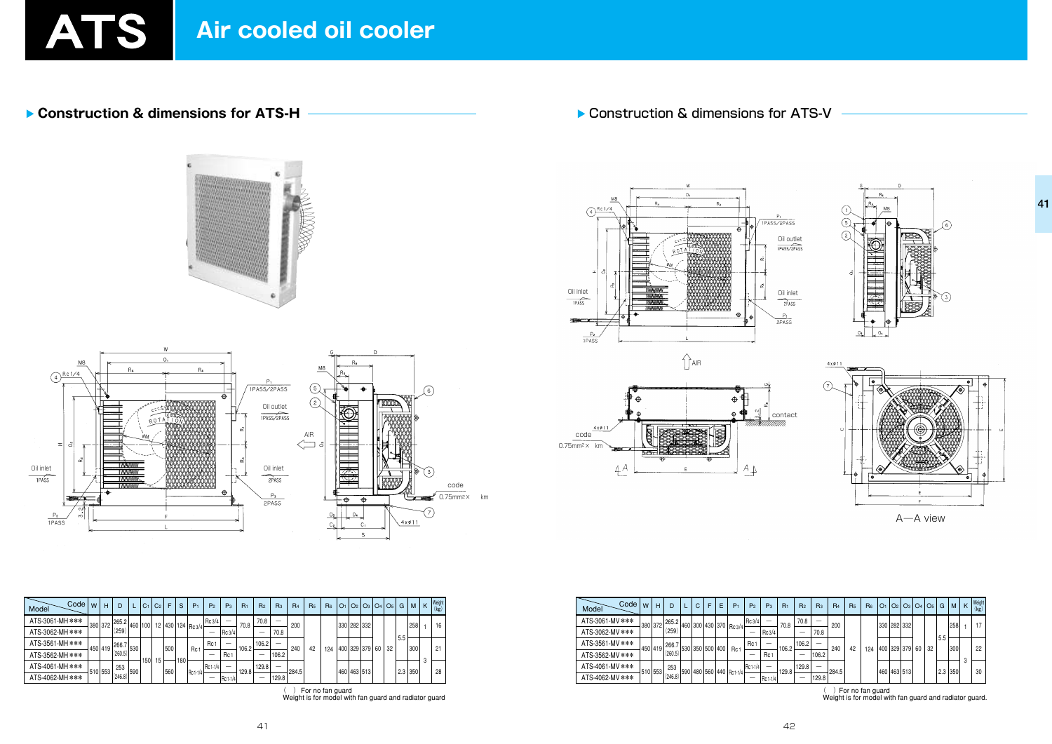

Construction & dimensions for ATS-H

Construction & dimensions for ATS-V







| Code<br>Model   | W | H         | D       |     | C <sub>1</sub>   | C <sub>2</sub> |     | S   | P <sub>1</sub>   | P <sub>2</sub>  | $P_3$    | $R_1$ | R <sub>2</sub> | R <sub>3</sub> | R <sub>4</sub> | R <sub>5</sub> | R <sub>6</sub> | O <sub>1</sub> |                      | $Q_2   Q_3   Q_4   Q_5  $ |    | G   | M    | K | Weight<br>(kg) |
|-----------------|---|-----------|---------|-----|------------------|----------------|-----|-----|------------------|-----------------|----------|-------|----------------|----------------|----------------|----------------|----------------|----------------|----------------------|---------------------------|----|-----|------|---|----------------|
| ATS-3061-MH *** |   | 380   372 | 265.2   | 460 | 100 <sub>l</sub> |                |     |     | 12 430 124 Rc3/4 | Rc3/4           | —        | 70.8  | 70.8           |                | 200            |                |                |                | 330 282 332          |                           |    |     | 258  |   | 16             |
| ATS-3062-MH *** |   |           | (259)   |     |                  |                |     |     |                  |                 | RC3/4    |       | –              | 70.8           |                |                |                |                |                      |                           |    | 5.5 |      |   |                |
| ATS-3561-MH *** |   | 450 419   | 266.7   | 530 |                  |                | 500 |     | Rc <sup>-</sup>  | Rc <sub>1</sub> |          | 106.2 | 106.2          | –              | 240            | 42             | 124            |                | 400   329   379   60 |                           | 32 |     | 300  |   | 21             |
| ATS-3562-MH *** |   |           | (260.5) |     |                  |                |     |     |                  |                 | Rc 1     |       |                | 106.2          |                |                |                |                |                      |                           |    |     |      |   |                |
| ATS-4061-MH *** |   | 510 553 1 | 253     | 590 | 150              | 15             | 560 | 180 |                  | Rc 1-1/4        |          | 129.8 | 129.8          |                | 284.5          |                |                |                | 1460   463   513     |                           |    | 2.3 | 1350 |   | 28             |
| ATS-4062-MH *** |   |           | (246.8) |     |                  |                |     |     | $RC1-1/4$        |                 | Rc 1-1/4 |       | _              | 129.8          |                |                |                |                |                      |                           |    |     |      |   |                |

() For no fan guard<br>Weight is for model with fan guard and radiator guard

| Code  <br>Model | W       | н       |         |                 | C | F | E | $P_1$                       | P <sub>2</sub> | $P_3$           | $R_1$ | R <sub>2</sub> | R <sub>3</sub> | R <sub>4</sub> | R <sub>5</sub> | R <sub>6</sub> | O <sub>1</sub> | O <sub>2</sub> |                 |    | $\big $ O <sub>3</sub> $\big $ O <sub>4</sub> $\big $ O <sub>5</sub> $\big $ | G   | M         | K | Weight<br>(kg) |
|-----------------|---------|---------|---------|-----------------|---|---|---|-----------------------------|----------------|-----------------|-------|----------------|----------------|----------------|----------------|----------------|----------------|----------------|-----------------|----|------------------------------------------------------------------------------|-----|-----------|---|----------------|
| ATS-3061-MV *** | 380 372 |         | 265.2   |                 |   |   |   | 1460 300 430 370 Rc3/4      | Rc 3/4         |                 | 70.8  | 70.8           |                | 200            |                |                | 330 282 332    |                |                 |    |                                                                              |     | 258       |   | 17             |
| ATS-3062-MV *** |         |         | (259)   |                 |   |   |   |                             |                | Rc3/4           |       |                | 70.8           |                |                |                |                |                |                 |    |                                                                              | 5.5 |           |   |                |
| ATS-3561-MV *** |         | 450 419 | 266.7   | 530 350 500 400 |   |   |   | Rc <sub>1</sub>             | Rc             |                 | 106.2 | 106.2          |                | 240            | 42             | 124            |                |                | 400   329   379 | 60 | 32                                                                           |     | 300       |   | 22             |
| ATS-3562-MV *** |         |         | (260.5) |                 |   |   |   |                             | –              | Rc <sub>1</sub> |       | $\sim$         | 106.2          |                |                |                |                |                |                 |    |                                                                              |     |           |   |                |
| ATS-4061-MV *** | 510 553 |         | 253     | 590             |   |   |   | 1480   560   440   Rc 1-1/4 | Rc 1-1/4       |                 | 129.8 | 129.8          |                | 284.5          |                |                | 460 463 513    |                |                 |    |                                                                              |     | $2.3$ 350 |   | 30             |
| ATS-4062-MV *** |         |         | (246.8) |                 |   |   |   |                             |                | $IRc1-1/4$      |       |                | 129.8          |                |                |                |                |                |                 |    |                                                                              |     |           |   |                |





A-A view

() For no fan guard<br>Weight is for model with fan guard and radiator guard.

41